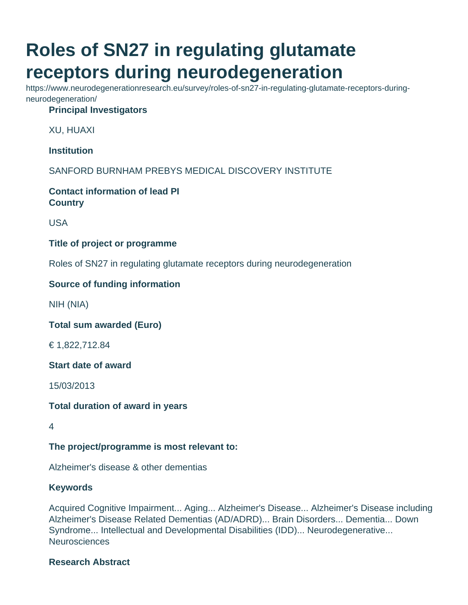# **Roles of SN27 in regulating glutamate receptors during neurodegeneration**

https://www.neurodegenerationresearch.eu/survey/roles-of-sn27-in-regulating-glutamate-receptors-duringneurodegeneration/

## **Principal Investigators**

XU, HUAXI

**Institution**

SANFORD BURNHAM PREBYS MEDICAL DISCOVERY INSTITUTE

**Contact information of lead PI Country**

USA

#### **Title of project or programme**

Roles of SN27 in regulating glutamate receptors during neurodegeneration

### **Source of funding information**

NIH (NIA)

**Total sum awarded (Euro)**

€ 1,822,712.84

**Start date of award**

15/03/2013

**Total duration of award in years**

4

**The project/programme is most relevant to:**

Alzheimer's disease & other dementias

#### **Keywords**

Acquired Cognitive Impairment... Aging... Alzheimer's Disease... Alzheimer's Disease including Alzheimer's Disease Related Dementias (AD/ADRD)... Brain Disorders... Dementia... Down Syndrome... Intellectual and Developmental Disabilities (IDD)... Neurodegenerative... **Neurosciences** 

#### **Research Abstract**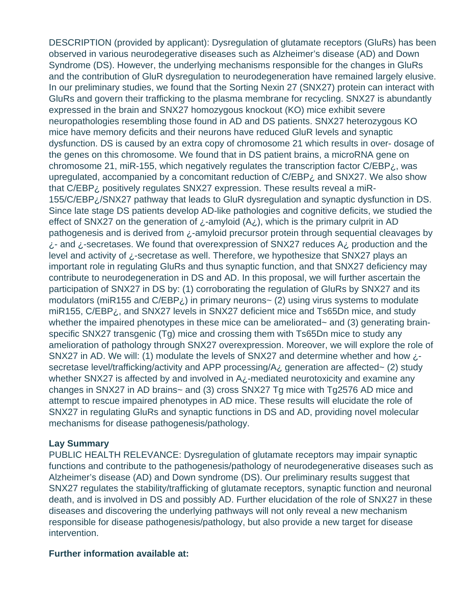DESCRIPTION (provided by applicant): Dysregulation of glutamate receptors (GluRs) has been observed in various neurodegerative diseases such as Alzheimer's disease (AD) and Down Syndrome (DS). However, the underlying mechanisms responsible for the changes in GluRs and the contribution of GluR dysregulation to neurodegeneration have remained largely elusive. In our preliminary studies, we found that the Sorting Nexin 27 (SNX27) protein can interact with GluRs and govern their trafficking to the plasma membrane for recycling. SNX27 is abundantly expressed in the brain and SNX27 homozygous knockout (KO) mice exhibit severe neuropathologies resembling those found in AD and DS patients. SNX27 heterozygous KO mice have memory deficits and their neurons have reduced GluR levels and synaptic dysfunction. DS is caused by an extra copy of chromosome 21 which results in over- dosage of the genes on this chromosome. We found that in DS patient brains, a microRNA gene on chromosome 21, miR-155, which negatively regulates the transcription factor  $C/EBP_{\zeta}$ , was upregulated, accompanied by a concomitant reduction of C/EBP¿ and SNX27. We also show that C/EBP¿ positively regulates SNX27 expression. These results reveal a miR-155/C/EBP¿/SNX27 pathway that leads to GluR dysregulation and synaptic dysfunction in DS. Since late stage DS patients develop AD-like pathologies and cognitive deficits, we studied the effect of SNX27 on the generation of  $\chi$ -amyloid (A $\chi$ ), which is the primary culprit in AD pathogenesis and is derived from ¿-amyloid precursor protein through sequential cleavages by  $i$ - and  $i$ -secretases. We found that overexpression of SNX27 reduces A $i$ , production and the level and activity of ¿-secretase as well. Therefore, we hypothesize that SNX27 plays an important role in regulating GluRs and thus synaptic function, and that SNX27 deficiency may contribute to neurodegeneration in DS and AD. In this proposal, we will further ascertain the participation of SNX27 in DS by: (1) corroborating the regulation of GluRs by SNX27 and its modulators (miR155 and  $C/EBP_{\zeta}$ ) in primary neurons~ (2) using virus systems to modulate miR155, C/EBP¿, and SNX27 levels in SNX27 deficient mice and Ts65Dn mice, and study whether the impaired phenotypes in these mice can be ameliorated~ and (3) generating brainspecific SNX27 transgenic (Tg) mice and crossing them with Ts65Dn mice to study any amelioration of pathology through SNX27 overexpression. Moreover, we will explore the role of SNX27 in AD. We will: (1) modulate the levels of SNX27 and determine whether and how  $\zeta$ secretase level/trafficking/activity and APP processing/A¿ generation are affected~ (2) study whether SNX27 is affected by and involved in A<sub>i-</sub>mediated neurotoxicity and examine any changes in SNX27 in AD brains~ and (3) cross SNX27 Tg mice with Tg2576 AD mice and attempt to rescue impaired phenotypes in AD mice. These results will elucidate the role of SNX27 in regulating GluRs and synaptic functions in DS and AD, providing novel molecular mechanisms for disease pathogenesis/pathology.

#### **Lay Summary**

PUBLIC HEALTH RELEVANCE: Dysregulation of glutamate receptors may impair synaptic functions and contribute to the pathogenesis/pathology of neurodegenerative diseases such as Alzheimer's disease (AD) and Down syndrome (DS). Our preliminary results suggest that SNX27 regulates the stability/trafficking of glutamate receptors, synaptic function and neuronal death, and is involved in DS and possibly AD. Further elucidation of the role of SNX27 in these diseases and discovering the underlying pathways will not only reveal a new mechanism responsible for disease pathogenesis/pathology, but also provide a new target for disease intervention.

#### **Further information available at:**